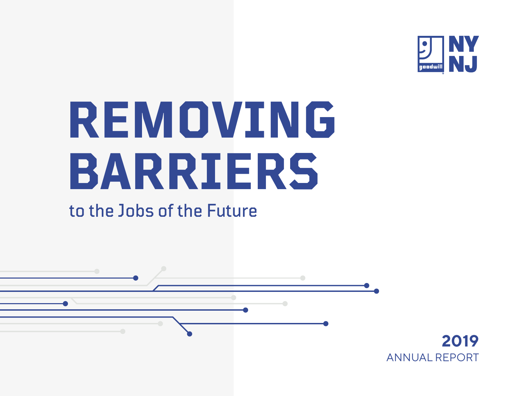

# **REMOVING BARRIERS**

# to the Jobs of the Future

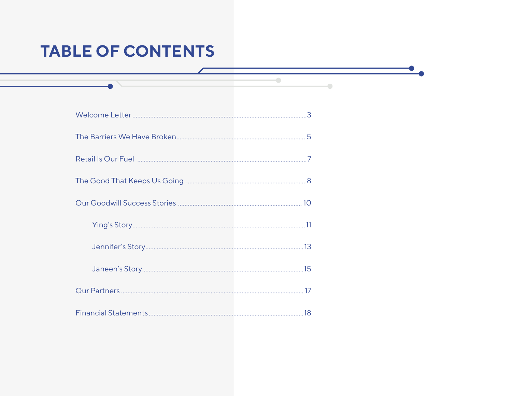# **TABLE OF CONTENTS**

 $\bullet$ 

 $\bullet$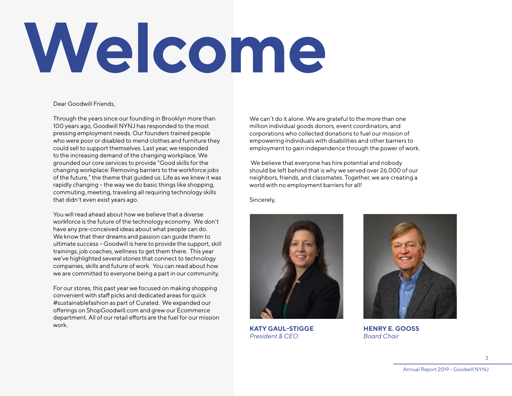# <span id="page-2-0"></span>**Welcome**

Dear Goodwill Friends,

Through the years since our founding in Brooklyn more than 100 years ago, Goodwill NYNJ has responded to the most pressing employment needs. Our founders trained people who were poor or disabled to mend clothes and furniture they could sell to support themselves. Last year, we responded to the increasing demand of the changing workplace. We grounded our core services to provide "Good skills for the changing workplace: Removing barriers to the workforce jobs of the future," the theme that guided us. Life as we knew it was rapidly changing – the way we do basic things like shopping, commuting, meeting, traveling all requiring technology skills that didn't even exist years ago.

You will read ahead about how we believe that a diverse workforce is the future of the technology economy. We don't have any pre-conceived ideas about what people can do. We know that their dreams and passion can guide them to ultimate success – Goodwill is here to provide the support, skill trainings, job coaches, wellness to get them there. This year we've highlighted several stories that connect to technology companies, skills and future of work. You can read about how we are committed to everyone being a part in our community.

For our stores, this past year we focused on making shopping convenient with staff picks and dedicated areas for quick #sustainablefashion as part of Curated. We expanded our offerings on ShopGoodwill.com and grew our Ecommerce department. All of our retail efforts are the fuel for our mission work.

We can't do it alone. We are grateful to the more than one million individual goods donors, event coordinators, and corporations who collected donations to fuel our mission of empowering individuals with disabilities and other barriers to employment to gain independence through the power of work.

 We believe that everyone has hire potential and nobody should be left behind that is why we served over 26,000 of our neighbors, friends, and classmates. Together, we are creating a world with no employment barriers for all!

Sincerely,



**KATY GAUL-STIGGE** *President & CEO*



**HENRY E. GOOSS** *Board Chair*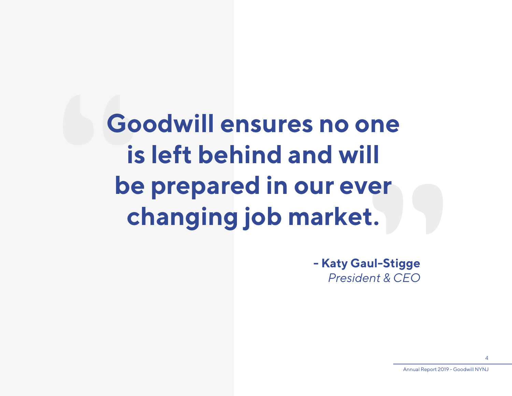**Co**<br> **S**<br> **S**<br> **S**<br> **S**<br> **S**<br> **C**<br> **C Goodwill ensures no one " is left behind and will be prepared in our ever changing job market.**

**- Katy Gaul-Stigge** *President & CEO*

Annual Report 2019 - Goodwill NYNJ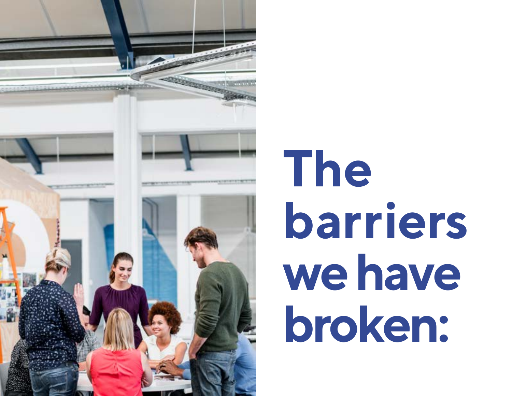<span id="page-4-0"></span>

# **The barriers we have broken:**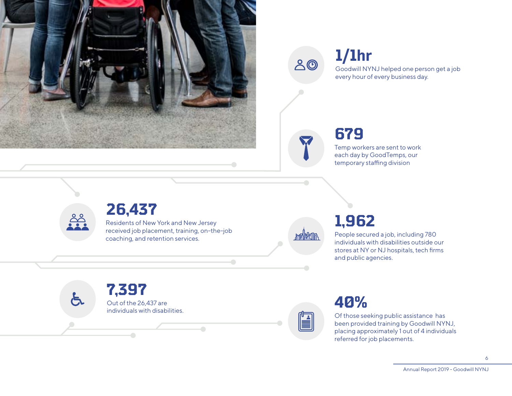

 $\triangle$ 

#### **1/1hr** Goodwill NYNJ helped one person get a job every hour of every business day.

## **679**

Temp workers are sent to work each day by GoodTemps, our temporary staffing division



## **26,437**

Residents of New York and New Jersey received job placement, training, on-the-job coaching, and retention services.

month

# **1,962**

People secured a job, including 780 individuals with disabilities outside our stores at NY or NJ hospitals, tech firms and public agencies.

**7,397** Out of the 26,437 are individuals with disabilities. $\bigcap$ 

# **40%**

Of those seeking public assistance has been provided training by Goodwill NYNJ, placing approximately 1 out of 4 individuals referred for job placements.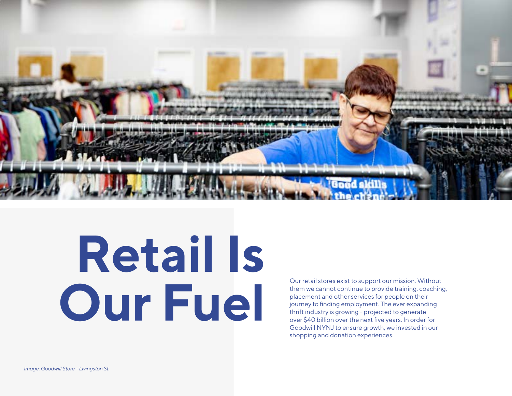<span id="page-6-0"></span>

# **Retail Is** Our retail stores exist to support our mission. Without<br>them we cannot continue to provide training, coaching<br>placement and other services for people on their<br>journey to finding employment. The ever expanding<br>thrift indust

them we cannot continue to provide training, coaching, placement and other services for people on their journey to finding employment. The ever expanding thrift industry is growing - projected to generate over \$40 billion over the next five years. In order for Goodwill NYNJ to ensure growth, we invested in our shopping and donation experiences.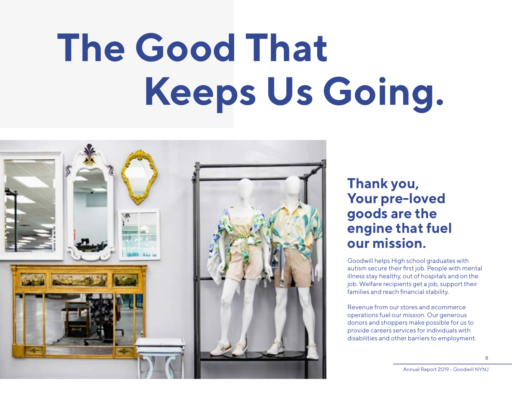# <span id="page-7-0"></span>**The Good That Keeps Us Going.**



## **Thank you, Your pre-loved goods are the engine that fuel our mission.**

Goodwill helps High school graduates with autism secure their first job. People with mental illness stay healthy, out of hospitals and on the job. Welfare recipients get a job, support their families and reach financial stability.

Revenue from our stores and ecommerce operations fuel our mission. Our generous donors and shoppers make possible for us to provide careers services for individuals with disabilities and other barriers to employment.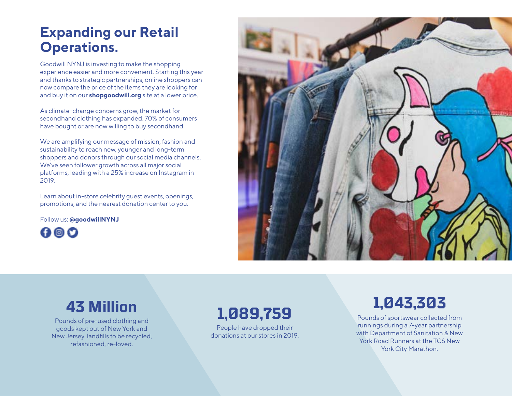## **Expanding our Retail Operations.**

Goodwill NYNJ is investing to make the shopping experience easier and more convenient. Starting this year and thanks to strategic partnerships, online shoppers can now compare the price of the items they are looking for and buy it on our **[shopgoodwill.org](https://www.shopgoodwill.com/nynj)** site at a lower price.

As climate-change concerns grow, the market for secondhand clothing has expanded. 70% of consumers have bought or are now willing to buy secondhand.

We are amplifying our message of mission, fashion and sustainability to reach new, younger and long-term shoppers and donors through our social media channels. We've seen follower growth across all major social platforms, leading with a 25% increase on Instagram in 2019.

Learn about in-store celebrity guest events, openings, promotions, and the nearest donation center to you.

Follow us: **@goodwillNYNJ**

 $000$ 



# **43 Million**

Pounds of pre-used clothing and goods kept out of New York and New Jersey landfills to be recycled, refashioned, re-loved.

## **1,089,759**

People have dropped their donations at our stores in 2019.

# **1,043,303**

Pounds of sportswear collected from runnings during a 7-year partnership with Department of Sanitation & New York Road Runners at the TCS New York City Marathon.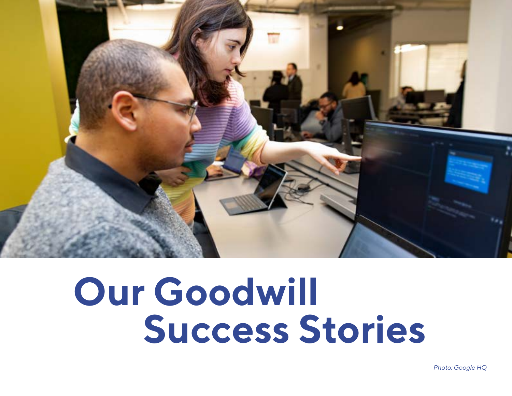<span id="page-9-0"></span>

# **Our Goodwill Success Stories**

*Photo: Google HQ*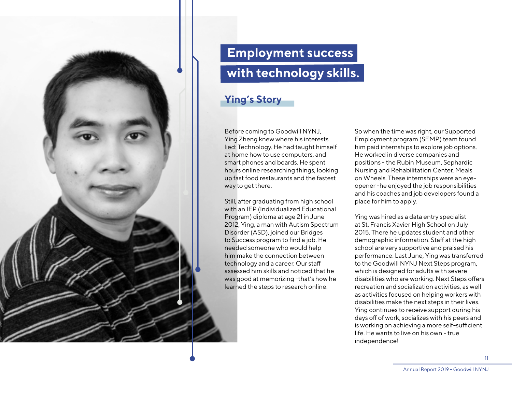<span id="page-10-0"></span>

# **Employment success with technology skills.**

### **Ying's Story**

Before coming to Goodwill NYNJ, Ying Zheng knew where his interests lied: Technology. He had taught himself at home how to use computers, and smart phones and boards. He spent hours online researching things, looking up fast food restaurants and the fastest way to get there.

Still, after graduating from high school with an IEP (Individualized Educational Program) diploma at age 21 in June 2012, Ying, a man with Autism Spectrum Disorder (ASD), joined our Bridges to Success program to find a job. He needed someone who would help him make the connection between technology and a career. Our staff assessed him skills and noticed that he was good at memorizing -that's how he learned the steps to research online.

So when the time was right, our Supported Employment program (SEMP) team found him paid internships to explore job options. He worked in diverse companies and positions - the Rubin Museum, Sephardic Nursing and Rehabilitation Center, Meals on Wheels. These internships were an eyeopener -he enjoyed the job responsibilities and his coaches and job developers found a place for him to apply.

Ying was hired as a data entry specialist at St. Francis Xavier High School on July 2015. There he updates student and other demographic information. Staff at the high school are very supportive and praised his performance. Last June, Ying was transferred to the Goodwill NYNJ Next Steps program, which is designed for adults with severe disabilities who are working. Next Steps offers recreation and socialization activities, as well as activities focused on helping workers with disabilities make the next steps in their lives. Ying continues to receive support during his days off of work, socializes with his peers and is working on achieving a more self-sufficient life. He wants to live on his own - true independence!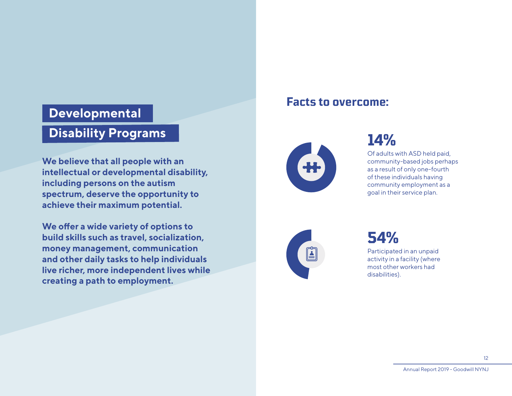### **Developmental**

## **Disability Programs**

**We believe that all people with an intellectual or developmental disability, including persons on the autism spectrum, deserve the opportunity to achieve their maximum potential.**

**We offer a wide variety of options to build skills such as travel, socialization, money management, communication and other daily tasks to help individuals live richer, more independent lives while creating a path to employment.**

### **Facts to overcome:**



## **14%**

Of adults with ASD held paid, community-based jobs perhaps as a result of only one-fourth of these individuals having community employment as a goal in their service plan.



# **54%**

Participated in an unpaid activity in a facility (where most other workers had disabilities).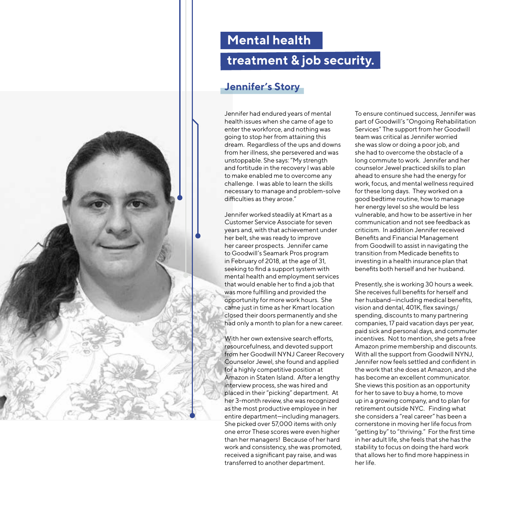<span id="page-12-0"></span>

## **Mental health**

## **treatment & job security.**

#### **Jennifer's Story**

Jennifer had endured years of mental health issues when she came of age to enter the workforce, and nothing was going to stop her from attaining this dream. Regardless of the ups and downs from her illness, she persevered and was unstoppable. She says: "My strength and fortitude in the recovery I was able to make enabled me to overcome any challenge. I was able to learn the skills necessary to manage and problem-solve difficulties as they arose."

Jennifer worked steadily at Kmart as a Customer Service Associate for seven years and, with that achievement under her belt, she was ready to improve her career prospects. Jennifer came to Goodwill's Seamark Pros program in February of 2018, at the age of 31, seeking to find a support system with mental health and employment services that would enable her to find a job that was more fulfilling and provided the opportunity for more work hours. She came just in time as her Kmart location closed their doors permanently and she had only a month to plan for a new career.

With her own extensive search efforts, resourcefulness, and devoted support from her Goodwill NYNJ Career Recovery Counselor Jewel, she found and applied for a highly competitive position at Amazon in Staten Island. After a lengthy interview process, she was hired and placed in their "picking" department. At her 3-month review, she was recognized as the most productive employee in her entire department—including managers. She picked over 57,000 items with only one error These scores were even higher than her managers! Because of her hard work and consistency, she was promoted, received a significant pay raise, and was transferred to another department.

To ensure continued success, Jennifer was part of Goodwill's "Ongoing Rehabilitation Services" The support from her Goodwill team was critical as Jennifer worried she was slow or doing a poor job, and she had to overcome the obstacle of a long commute to work. Jennifer and her counselor Jewel practiced skills to plan ahead to ensure she had the energy for work, focus, and mental wellness required for these long days. They worked on a good bedtime routine, how to manage her energy level so she would be less vulnerable, and how to be assertive in her communication and not see feedback as criticism. In addition Jennifer received Benefits and Financial Management from Goodwill to assist in navigating the transition from Medicade benefits to investing in a health insurance plan that benefits both herself and her husband.

Presently, she is working 30 hours a week. She receives full benefits for herself and her husband—including medical benefits, vision and dental, 401K, flex savings/ spending, discounts to many partnering companies, 17 paid vacation days per year, paid sick and personal days, and commuter incentives. Not to mention, she gets a free Amazon prime membership and discounts. With all the support from Goodwill NYNJ, Jennifer now feels settled and confident in the work that she does at Amazon, and she has become an excellent communicator. She views this position as an opportunity for her to save to buy a home, to move up in a growing company, and to plan for retirement outside NYC. Finding what she considers a "real career" has been a cornerstone in moving her life focus from "getting by" to "thriving." For the first time in her adult life, she feels that she has the stability to focus on doing the hard work that allows her to find more happiness in her life.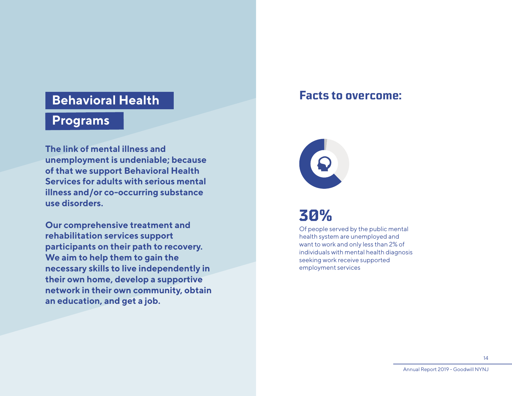### **Behavioral Health**

### **Programs**

**The link of mental illness and unemployment is undeniable; because of that we support Behavioral Health Services for adults with serious mental illness and/or co-occurring substance use disorders.**

**Our comprehensive treatment and rehabilitation services support participants on their path to recovery. We aim to help them to gain the necessary skills to live independently in their own home, develop a supportive network in their own community, obtain an education, and get a job.**

### **Facts to overcome:**



## **30%**

Of people served by the public mental health system are unemployed and want to work and only less than 2% of individuals with mental health diagnosis seeking work receive supported employment services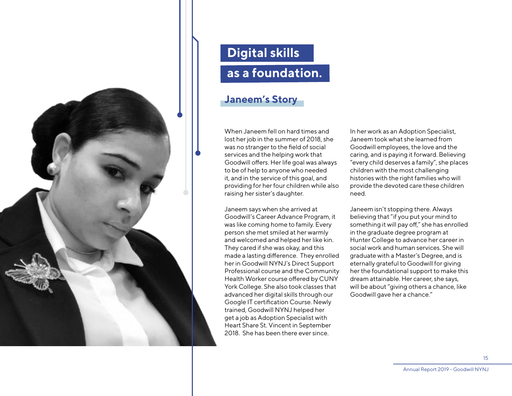<span id="page-14-0"></span>

# **Digital skills as a foundation.**

#### **Janeem's Story**

When Janeem fell on hard times and lost her job in the summer of 2018, she was no stranger to the field of social services and the helping work that Goodwill offers. Her life goal was always to be of help to anyone who needed it, and in the service of this goal, and providing for her four children while also raising her sister's daughter.

Janeem says when she arrived at Goodwill's Career Advance Program, it was like coming home to family. Every person she met smiled at her warmly and welcomed and helped her like kin. They cared if she was okay, and this made a lasting difference. They enrolled her in Goodwill NYNJ's Direct Support Professional course and the Community Health Worker course offered by CUNY York College. She also took classes that advanced her digital skills through our Google IT certification Course. Newly trained, Goodwill NYNJ helped her get a job as Adoption Specialist with Heart Share St. Vincent in September 2018. She has been there ever since.

In her work as an Adoption Specialist, Janeem took what she learned from Goodwill employees, the love and the caring, and is paying it forward. Believing "every child deserves a family", she places children with the most challenging histories with the right families who will provide the devoted care these children need.

Janeem isn't stopping there. Always believing that "if you put your mind to something it will pay off," she has enrolled in the graduate degree program at Hunter College to advance her career in social work and human services. She will graduate with a Master's Degree, and is eternally grateful to Goodwill for giving her the foundational support to make this dream attainable. Her career, she says, will be about "giving others a chance, like Goodwill gave her a chance."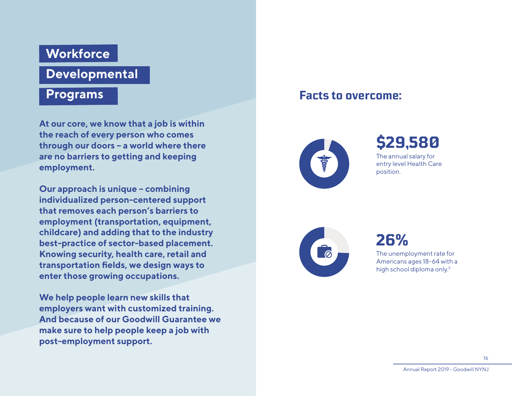## **Workforce**

## **Developmental**

#### **Programs**

**At our core, we know that a job is within the reach of every person who comes through our doors – a world where there are no barriers to getting and keeping employment.**

**Our approach is unique – combining individualized person-centered support that removes each person's barriers to employment (transportation, equipment, childcare) and adding that to the industry best-practice of sector-based placement. Knowing security, health care, retail and transportation fields, we design ways to enter those growing occupations.**

**We help people learn new skills that employers want with customized training. And because of our Goodwill Guarantee we make sure to help people keep a job with post-employment support.**

### **Facts to overcome:**



**\$29,580** The annual salary for

entry level Health Care position.



**26%** The unemployment rate for Americans ages 18-64 with a high school diploma only.2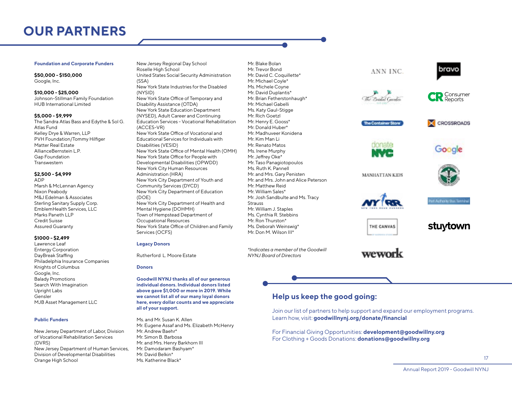## <span id="page-16-0"></span>**OUR PARTNERS**

#### **Foundation and Corporate Funders**

**\$50,000 - \$150,000** Google, Inc.

**\$10,000 - \$25,000** Johnson-Stillman Family Foundation HUB International Limited

#### **\$5,000 - \$9,999**

The Sandra Atlas Bass and Edythe & Sol G. Atlas Fund Kelley Drye & Warren, LLP PVH Foundation/Tommy Hilfiger Matter Real Estate AllianceBernstein L.P. Gap Foundation Transwestern

#### **\$2,500 - \$4,999**

ADP Marsh & McLennan Agency Nixon Peabody M&J Edelman & Associates Sterling Sanitary Supply Corp. EmblemHealth Services, LLC Marks Paneth LLP Credit Suisse Assured Guaranty

#### **\$1000 - \$2,499**

Lawrence Leaf Entergy Corporation DayBreak Staffing Philadelphia Insurance Companies Knights of Columbus Google, Inc. Balady Promotions Search With Imagination Upright Labs Gensler MJB Asset Management LLC

#### **Public Funders**

New Jersey Department of Labor, Division of Vocational Rehabilitation Services (DVRS) New Jersey Department of Human Services, Division of Developmental Disabilities Orange High School

New Jersey Regional Day School Roselle High School United States Social Security Administration (SSA) New York State Industries for the Disabled (NYSID) New York State Office of Temporary and Disability Assistance (OTDA) New York State Education Department (NYSED), Adult Career and Continuing Education Services - Vocational Rehabilitation (ACCES-VR) New York State Office of Vocational and Educational Services for Individuals with Disabilities (VESID) New York State Office of Mental Health (OMH) New York State Office for People with Developmental Disabilities (OPWDD) New York City Human Resources Administration (HRA) New York City Department of Youth and Community Services (DYCD) New York City Department of Education (DOE) New York City Department of Health and Mental Hygiene (DOHMH) Town of Hempstead Department of Occupational Resources New York State Office of Children and Family Services (OCFS)

#### **Legacy Donors**

Rutherford L. Moore Estate

#### **Donors**

**Goodwill NYNJ thanks all of our generous individual donors. Individual donors listed above gave \$1,000 or more in 2019. While we cannot list all of our many loyal donors here, every dollar counts and we appreciate all of your support.**

Ms. and Mr. Susan K. Allen Mr. Eugene Assaf and Ms. Elizabeth McHenry Mr. Andrew Baehr\* Mr. Simon B. Barbosa Mr. and Mrs. Henry Barkhorn III Mr. Damodaram Bashyam\* Mr. David Belkin\* Ms. Katherine Black\*

Mr. Trevor Bond Mr. David C. Coquillette\* Mr. Michael Coyle\* Ms. Michele Coyne Mr. David Duplantis\* Mr. Brian Fetherstonhaugh\* Mr. Michael Gabelli Ms. Katy Gaul-Stigge Mr. Rich Goetzl Mr. Henry E. Gooss\* Mr. Donald Huber\* Mr. Madhuveer Konidena Mr. Kim Man Li Mr. Renato Matos Ms. Irene Murphy Mr. Jeffrey Oke\* Mr. Taso Panagiotopoulos Ms. Ruth K. Pannell Mr. and Mrs. Gary Penisten Mr. and Mrs. John and Alice Peterson Mr. Matthew Reid Mr. William Sales\* Mr. Josh Sandbulte and Ms. Tracy **Strauss** Mr. William J. Staples Ms. Cynthia R. Stebbins Mr. Ron Thurston\* Ms. Deborah Weinswig\* Mr. Don M. Wilson III\*

Mr. Blake Bolan

*\*Indicates a member of the Goodwill NYNJ Board of Directors*

#### **Help us keep the good going:**

Join our list of partners to help support and expand our employment programs. Learn how, visit: **[goodwillnynj.org/donate/financial](http://goodwillnynj.org/donate/financial)**

ANN INC.

**The Container Store** 

MANHATIAN KIDS

THE CANVAS

wework

For Financial Giving Opportunities: **[development@goodwillny.org](mailto:development%40goodwillny.org?subject=Financial%20Giving%20Opportunities)** For Clothing + Goods Donations: **[donations@goodwillny.org](mailto:donations%40goodwillny.org?subject=Clothing%20and%20Goods%20Donation)**

bravo

**CR** Consumer

CROSSROADS

Google

**Adhenty than Terms** 

stuytown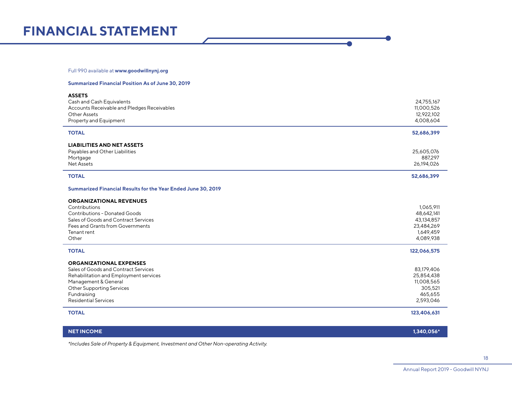## <span id="page-17-0"></span>**FINANCIAL STATEMENT**

#### Full 990 available at **[www.goodwillnynj.org](https://www.goodwillnynj.org/about-goodwill)**

#### **Summarized Financial Position As of June 30, 2019**

| <b>ASSETS</b><br>Cash and Cash Equivalents<br>Accounts Receivable and Pledges Receivables<br><b>Other Assets</b><br>Property and Equipment                                                                                 | 24,755,167<br>11,000,526<br>12,922,102<br>4,008,604                           |
|----------------------------------------------------------------------------------------------------------------------------------------------------------------------------------------------------------------------------|-------------------------------------------------------------------------------|
| <b>TOTAL</b>                                                                                                                                                                                                               | 52,686,399                                                                    |
| <b>LIABILITIES AND NET ASSETS</b><br>Payables and Other Liabilities<br>Mortgage<br><b>Net Assets</b>                                                                                                                       | 25,605,076<br>887,297<br>26,194,026                                           |
| <b>TOTAL</b>                                                                                                                                                                                                               | 52,686,399                                                                    |
| Summarized Financial Results for the Year Ended June 30, 2019                                                                                                                                                              |                                                                               |
| <b>ORGANIZATIONAL REVENUES</b><br>Contributions<br><b>Contributions - Donated Goods</b><br>Sales of Goods and Contract Services<br>Fees and Grants from Governments<br>Tenant rent<br>Other                                | 1,065,911<br>48,642,141<br>43,134,857<br>23,484,269<br>1,649,459<br>4,089,938 |
| <b>TOTAL</b>                                                                                                                                                                                                               | 122,066,575                                                                   |
| <b>ORGANIZATIONAL EXPENSES</b><br>Sales of Goods and Contract Services<br>Rehabilitation and Employment services<br>Management & General<br><b>Other Supporting Services</b><br>Fundraising<br><b>Residential Services</b> | 83,179,406<br>25,854,438<br>11,008,565<br>305,521<br>465,655<br>2,593,046     |
| <b>TOTAL</b>                                                                                                                                                                                                               | 123,406,631                                                                   |
|                                                                                                                                                                                                                            |                                                                               |

**NET INCOME 1,340,056\***

*\*Includes Sale of Property & Equipment, Investment and Other Non-operating Activity.*